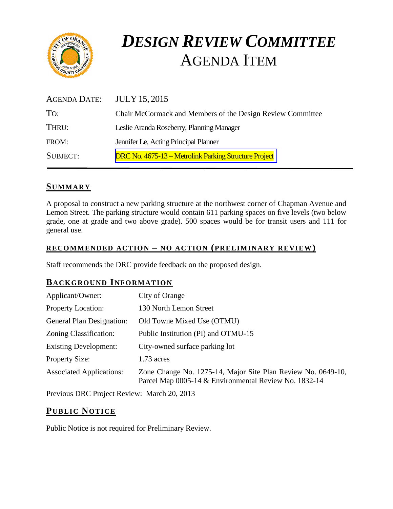

# *DESIGN REVIEW COMMITTEE*  AGENDA ITEM

| <b>AGENDA DATE:</b> | <b>JULY 15, 2015</b>                                       |
|---------------------|------------------------------------------------------------|
| To:                 | Chair McCormack and Members of the Design Review Committee |
| THRU:               | Leslie Aranda Roseberry, Planning Manager                  |
| FROM:               | Jennifer Le, Acting Principal Planner                      |
| <b>SUBJECT:</b>     | DRC No. 4675-13 – Metrolink Parking Structure Project      |

## **SUMMARY**

A proposal to construct a new parking structure at the northwest corner of Chapman Avenue and Lemon Street. The parking structure would contain 611 parking spaces on five levels (two below grade, one at grade and two above grade). 500 spaces would be for transit users and 111 for general use.

#### **RECOMMENDED ACTION – NO ACTION (PRELIMINARY REVIEW)**

Staff recommends the DRC provide feedback on the proposed design.

# **BACKGROUND INFORMATION**

| Applicant/Owner:                 | City of Orange                                                                                                        |
|----------------------------------|-----------------------------------------------------------------------------------------------------------------------|
| <b>Property Location:</b>        | 130 North Lemon Street                                                                                                |
| <b>General Plan Designation:</b> | Old Towne Mixed Use (OTMU)                                                                                            |
| Zoning Classification:           | Public Institution (PI) and OTMU-15                                                                                   |
| <b>Existing Development:</b>     | City-owned surface parking lot                                                                                        |
| <b>Property Size:</b>            | $1.73$ acres                                                                                                          |
| <b>Associated Applications:</b>  | Zone Change No. 1275-14, Major Site Plan Review No. 0649-10,<br>Parcel Map 0005-14 & Environmental Review No. 1832-14 |

Previous DRC Project Review: March 20, 2013

# **PUB LIC NOTICE**

Public Notice is not required for Preliminary Review.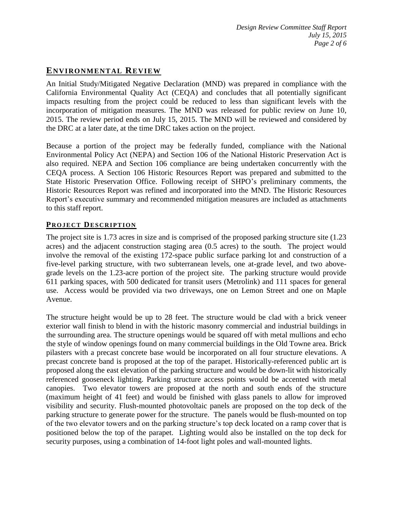# **ENVIRONMENTAL REVIEW**

An Initial Study/Mitigated Negative Declaration (MND) was prepared in compliance with the California Environmental Quality Act (CEQA) and concludes that all potentially significant impacts resulting from the project could be reduced to less than significant levels with the incorporation of mitigation measures. The MND was released for public review on June 10, 2015. The review period ends on July 15, 2015. The MND will be reviewed and considered by the DRC at a later date, at the time DRC takes action on the project.

Because a portion of the project may be federally funded, compliance with the National Environmental Policy Act (NEPA) and Section 106 of the National Historic Preservation Act is also required. NEPA and Section 106 compliance are being undertaken concurrently with the CEQA process. A Section 106 Historic Resources Report was prepared and submitted to the State Historic Preservation Office. Following receipt of SHPO's preliminary comments, the Historic Resources Report was refined and incorporated into the MND. The Historic Resources Report's executive summary and recommended mitigation measures are included as attachments to this staff report.

#### **PROJECT DESCRIPTION**

The project site is 1.73 acres in size and is comprised of the proposed parking structure site (1.23 acres) and the adjacent construction staging area (0.5 acres) to the south. The project would involve the removal of the existing 172-space public surface parking lot and construction of a five-level parking structure, with two subterranean levels, one at-grade level, and two abovegrade levels on the 1.23-acre portion of the project site. The parking structure would provide 611 parking spaces, with 500 dedicated for transit users (Metrolink) and 111 spaces for general use. Access would be provided via two driveways, one on Lemon Street and one on Maple Avenue.

The structure height would be up to 28 feet. The structure would be clad with a brick veneer exterior wall finish to blend in with the historic masonry commercial and industrial buildings in the surrounding area. The structure openings would be squared off with metal mullions and echo the style of window openings found on many commercial buildings in the Old Towne area. Brick pilasters with a precast concrete base would be incorporated on all four structure elevations. A precast concrete band is proposed at the top of the parapet. Historically-referenced public art is proposed along the east elevation of the parking structure and would be down-lit with historically referenced gooseneck lighting. Parking structure access points would be accented with metal canopies. Two elevator towers are proposed at the north and south ends of the structure (maximum height of 41 feet) and would be finished with glass panels to allow for improved visibility and security. Flush-mounted photovoltaic panels are proposed on the top deck of the parking structure to generate power for the structure. The panels would be flush-mounted on top of the two elevator towers and on the parking structure's top deck located on a ramp cover that is positioned below the top of the parapet. Lighting would also be installed on the top deck for security purposes, using a combination of 14-foot light poles and wall-mounted lights.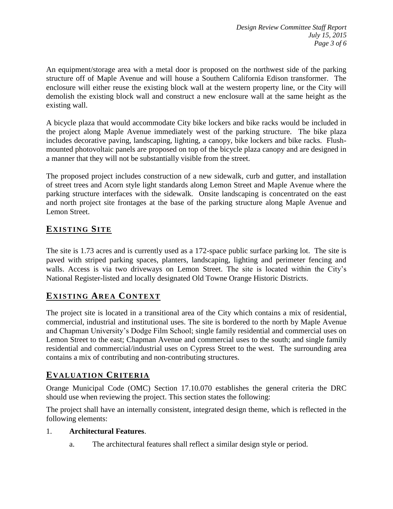An equipment/storage area with a metal door is proposed on the northwest side of the parking structure off of Maple Avenue and will house a Southern California Edison transformer. The enclosure will either reuse the existing block wall at the western property line, or the City will demolish the existing block wall and construct a new enclosure wall at the same height as the existing wall.

A bicycle plaza that would accommodate City bike lockers and bike racks would be included in the project along Maple Avenue immediately west of the parking structure. The bike plaza includes decorative paving, landscaping, lighting, a canopy, bike lockers and bike racks. Flushmounted photovoltaic panels are proposed on top of the bicycle plaza canopy and are designed in a manner that they will not be substantially visible from the street.

The proposed project includes construction of a new sidewalk, curb and gutter, and installation of street trees and Acorn style light standards along Lemon Street and Maple Avenue where the parking structure interfaces with the sidewalk. Onsite landscaping is concentrated on the east and north project site frontages at the base of the parking structure along Maple Avenue and Lemon Street.

# **EXISTING SITE**

The site is 1.73 acres and is currently used as a 172-space public surface parking lot. The site is paved with striped parking spaces, planters, landscaping, lighting and perimeter fencing and walls. Access is via two driveways on Lemon Street. The site is located within the City's National Register-listed and locally designated Old Towne Orange Historic Districts.

# **EXISTING AREA CONTEXT**

The project site is located in a transitional area of the City which contains a mix of residential, commercial, industrial and institutional uses. The site is bordered to the north by Maple Avenue and Chapman University's Dodge Film School; single family residential and commercial uses on Lemon Street to the east; Chapman Avenue and commercial uses to the south; and single family residential and commercial/industrial uses on Cypress Street to the west. The surrounding area contains a mix of contributing and non-contributing structures.

# **EVALUATION CRITERIA**

Orange Municipal Code (OMC) Section 17.10.070 establishes the general criteria the DRC should use when reviewing the project. This section states the following:

The project shall have an internally consistent, integrated design theme, which is reflected in the following elements:

## 1. **Architectural Features**.

a. The architectural features shall reflect a similar design style or period.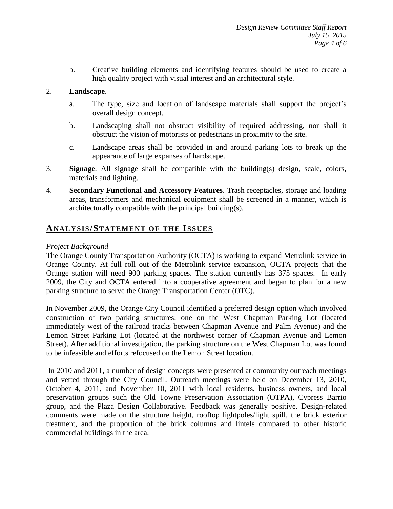b. Creative building elements and identifying features should be used to create a high quality project with visual interest and an architectural style.

#### 2. **Landscape**.

- a. The type, size and location of landscape materials shall support the project's overall design concept.
- b. Landscaping shall not obstruct visibility of required addressing, nor shall it obstruct the vision of motorists or pedestrians in proximity to the site.
- c. Landscape areas shall be provided in and around parking lots to break up the appearance of large expanses of hardscape.
- 3. **Signage**. All signage shall be compatible with the building(s) design, scale, colors, materials and lighting.
- 4. **Secondary Functional and Accessory Features**. Trash receptacles, storage and loading areas, transformers and mechanical equipment shall be screened in a manner, which is architecturally compatible with the principal building(s).

## **ANALY SIS/STATEMENT OF THE ISSUES**

#### *Project Background*

The Orange County Transportation Authority (OCTA) is working to expand Metrolink service in Orange County. At full roll out of the Metrolink service expansion, OCTA projects that the Orange station will need 900 parking spaces. The station currently has 375 spaces. In early 2009, the City and OCTA entered into a cooperative agreement and began to plan for a new parking structure to serve the Orange Transportation Center (OTC).

In November 2009, the Orange City Council identified a preferred design option which involved construction of two parking structures: one on the West Chapman Parking Lot (located immediately west of the railroad tracks between Chapman Avenue and Palm Avenue) and the Lemon Street Parking Lot (located at the northwest corner of Chapman Avenue and Lemon Street). After additional investigation, the parking structure on the West Chapman Lot was found to be infeasible and efforts refocused on the Lemon Street location.

In 2010 and 2011, a number of design concepts were presented at community outreach meetings and vetted through the City Council. Outreach meetings were held on December 13, 2010, October 4, 2011, and November 10, 2011 with local residents, business owners, and local preservation groups such the Old Towne Preservation Association (OTPA), Cypress Barrio group, and the Plaza Design Collaborative. Feedback was generally positive. Design-related comments were made on the structure height, rooftop lightpoles/light spill, the brick exterior treatment, and the proportion of the brick columns and lintels compared to other historic commercial buildings in the area.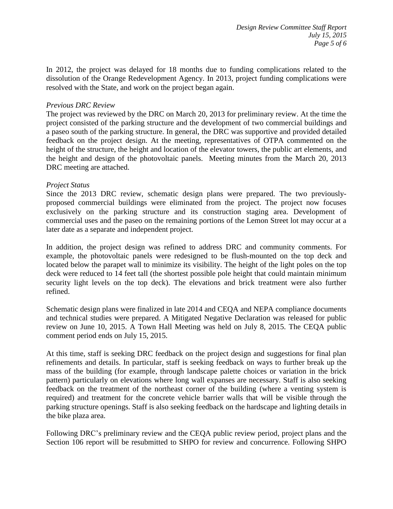In 2012, the project was delayed for 18 months due to funding complications related to the dissolution of the Orange Redevelopment Agency. In 2013, project funding complications were resolved with the State, and work on the project began again.

#### *Previous DRC Review*

The project was reviewed by the DRC on March 20, 2013 for preliminary review. At the time the project consisted of the parking structure and the development of two commercial buildings and a paseo south of the parking structure. In general, the DRC was supportive and provided detailed feedback on the project design. At the meeting, representatives of OTPA commented on the height of the structure, the height and location of the elevator towers, the public art elements, and the height and design of the photovoltaic panels. Meeting minutes from the March 20, 2013 DRC meeting are attached.

#### *Project Status*

Since the 2013 DRC review, schematic design plans were prepared. The two previouslyproposed commercial buildings were eliminated from the project. The project now focuses exclusively on the parking structure and its construction staging area. Development of commercial uses and the paseo on the remaining portions of the Lemon Street lot may occur at a later date as a separate and independent project.

In addition, the project design was refined to address DRC and community comments. For example, the photovoltaic panels were redesigned to be flush-mounted on the top deck and located below the parapet wall to minimize its visibility. The height of the light poles on the top deck were reduced to 14 feet tall (the shortest possible pole height that could maintain minimum security light levels on the top deck). The elevations and brick treatment were also further refined.

Schematic design plans were finalized in late 2014 and CEQA and NEPA compliance documents and technical studies were prepared. A Mitigated Negative Declaration was released for public review on June 10, 2015. A Town Hall Meeting was held on July 8, 2015. The CEQA public comment period ends on July 15, 2015.

At this time, staff is seeking DRC feedback on the project design and suggestions for final plan refinements and details. In particular, staff is seeking feedback on ways to further break up the mass of the building (for example, through landscape palette choices or variation in the brick pattern) particularly on elevations where long wall expanses are necessary. Staff is also seeking feedback on the treatment of the northeast corner of the building (where a venting system is required) and treatment for the concrete vehicle barrier walls that will be visible through the parking structure openings. Staff is also seeking feedback on the hardscape and lighting details in the bike plaza area.

Following DRC's preliminary review and the CEQA public review period, project plans and the Section 106 report will be resubmitted to SHPO for review and concurrence. Following SHPO